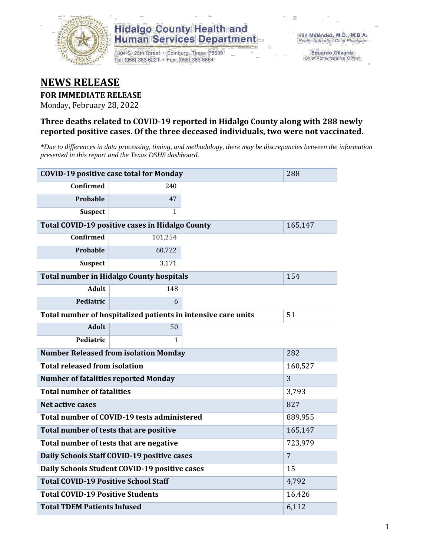

1304 S. 25th Street · Edinburg, Texas 78539 Tel: (956) 383-6221 · Fax: (956) 383-8864

**Eduardo Olivarez** Chief Administrative Officer

## **NEWS RELEASE**

**FOR IMMEDIATE RELEASE**

Monday, February 28, 2022

#### **Three deaths related to COVID-19 reported in Hidalgo County along with 288 newly reported positive cases. Of the three deceased individuals, two were not vaccinated.**

*\*Due to differences in data processing, timing, and methodology, there may be discrepancies between the information presented in this report and the Texas DSHS dashboard.*

| <b>COVID-19 positive case total for Monday</b>  | 288                                                           |                |         |  |  |
|-------------------------------------------------|---------------------------------------------------------------|----------------|---------|--|--|
| <b>Confirmed</b>                                | 240                                                           |                |         |  |  |
| <b>Probable</b>                                 | 47                                                            |                |         |  |  |
| <b>Suspect</b>                                  | $\mathbf{1}$                                                  |                |         |  |  |
|                                                 | Total COVID-19 positive cases in Hidalgo County               |                | 165,147 |  |  |
| <b>Confirmed</b>                                | 101,254                                                       |                |         |  |  |
| Probable                                        | 60,722                                                        |                |         |  |  |
| <b>Suspect</b>                                  | 3,171                                                         |                |         |  |  |
|                                                 | <b>Total number in Hidalgo County hospitals</b>               |                | 154     |  |  |
| <b>Adult</b>                                    | 148                                                           |                |         |  |  |
| Pediatric                                       | 6                                                             |                |         |  |  |
|                                                 | Total number of hospitalized patients in intensive care units | 51             |         |  |  |
| <b>Adult</b>                                    | 50                                                            |                |         |  |  |
| Pediatric                                       | 1                                                             |                |         |  |  |
| <b>Number Released from isolation Monday</b>    | 282                                                           |                |         |  |  |
| <b>Total released from isolation</b><br>160,527 |                                                               |                |         |  |  |
| <b>Number of fatalities reported Monday</b>     |                                                               | 3              |         |  |  |
| <b>Total number of fatalities</b>               |                                                               | 3,793          |         |  |  |
| Net active cases                                |                                                               |                | 827     |  |  |
|                                                 | Total number of COVID-19 tests administered                   |                | 889,955 |  |  |
| Total number of tests that are positive         |                                                               | 165,147        |         |  |  |
| Total number of tests that are negative         |                                                               | 723,979        |         |  |  |
| Daily Schools Staff COVID-19 positive cases     |                                                               | $\overline{7}$ |         |  |  |
| Daily Schools Student COVID-19 positive cases   |                                                               | 15             |         |  |  |
| <b>Total COVID-19 Positive School Staff</b>     |                                                               | 4,792          |         |  |  |
| <b>Total COVID-19 Positive Students</b>         | 16,426                                                        |                |         |  |  |
| <b>Total TDEM Patients Infused</b>              |                                                               | 6,112          |         |  |  |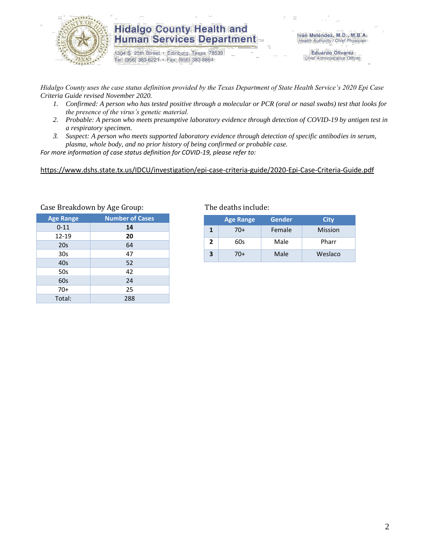

1304 S. 25th Street · Edinburg, Texas 78539 Tel: (956) 383-6221 · Fax: (956) 383-8864

**Eduardo Olivarez** Chief Administrative Officer

*Hidalgo County uses the case status definition provided by the Texas Department of State Health Service's 2020 Epi Case Criteria Guide revised November 2020.*

- *1. Confirmed: A person who has tested positive through a molecular or PCR (oral or nasal swabs) test that looks for the presence of the virus's genetic material.*
- *2. Probable: A person who meets presumptive laboratory evidence through detection of COVID-19 by antigen test in a respiratory specimen.*
- *3. Suspect: A person who meets supported laboratory evidence through detection of specific antibodies in serum, plasma, whole body, and no prior history of being confirmed or probable case.*

*For more information of case status definition for COVID-19, please refer to:*

<https://www.dshs.state.tx.us/IDCU/investigation/epi-case-criteria-guide/2020-Epi-Case-Criteria-Guide.pdf>

| ╯<br>ັ                 |
|------------------------|
| <b>Number of Cases</b> |
| 14                     |
| 20                     |
| 64                     |
| 47                     |
| 52                     |
| 42                     |
| 24                     |
| 25                     |
| 288                    |
|                        |

#### Case Breakdown by Age Group: The deaths include:

|   | <b>Age Range</b> | Gender | City    |
|---|------------------|--------|---------|
| 1 | 70+              | Female | Mission |
| 2 | 60s              | Male   | Pharr   |
| 3 | 70+              | Male   | Weslaco |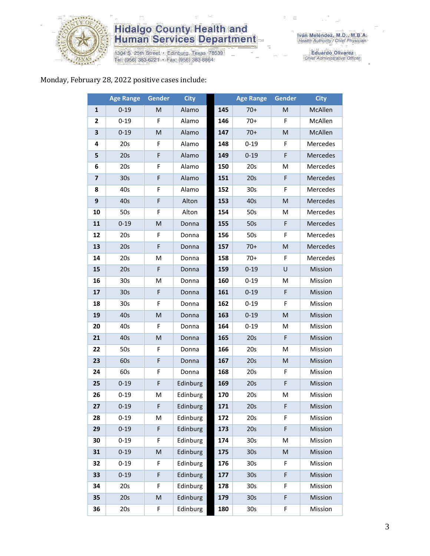

1304 S. 25th Street • Edinburg, Texas 78539<br>Tel: (956) 383-6221 • Fax: (956) 383-8864

Eduardo Olivarez<br>Chief Administrative Officer

#### Monday, February 28, 2022 positive cases include:

|                         | <b>Age Range</b> | <b>Gender</b> | <b>City</b> |     | <b>Age Range</b> | Gender | <b>City</b> |
|-------------------------|------------------|---------------|-------------|-----|------------------|--------|-------------|
| 1                       | $0 - 19$         | M             | Alamo       | 145 | $70+$            | M      | McAllen     |
| 2                       | $0 - 19$         | F             | Alamo       | 146 | $70+$            | F      | McAllen     |
| 3                       | $0 - 19$         | M             | Alamo       | 147 | $70+$            | M      | McAllen     |
| 4                       | 20s              | F             | Alamo       | 148 | $0 - 19$         | F      | Mercedes    |
| 5                       | 20s              | F             | Alamo       | 149 | $0 - 19$         | F      | Mercedes    |
| 6                       | 20s              | F             | Alamo       | 150 | 20s              | M      | Mercedes    |
| $\overline{\mathbf{z}}$ | 30 <sub>s</sub>  | F             | Alamo       | 151 | 20s              | F      | Mercedes    |
| 8                       | 40s              | F             | Alamo       | 152 | 30 <sub>s</sub>  | F      | Mercedes    |
| 9                       | 40s              | F             | Alton       | 153 | 40s              | M      | Mercedes    |
| 10                      | 50s              | F             | Alton       | 154 | 50s              | M      | Mercedes    |
| 11                      | $0 - 19$         | M             | Donna       | 155 | 50s              | F      | Mercedes    |
| 12                      | 20s              | F             | Donna       | 156 | 50s              | F      | Mercedes    |
| 13                      | 20s              | F             | Donna       | 157 | $70+$            | M      | Mercedes    |
| 14                      | 20s              | M             | Donna       | 158 | $70+$            | F      | Mercedes    |
| 15                      | 20s              | F             | Donna       | 159 | $0 - 19$         | U      | Mission     |
| 16                      | 30s              | M             | Donna       | 160 | $0 - 19$         | M      | Mission     |
| 17                      | 30 <sub>s</sub>  | F             | Donna       | 161 | $0 - 19$         | F      | Mission     |
| 18                      | 30s              | F             | Donna       | 162 | $0 - 19$         | F      | Mission     |
| 19                      | 40s              | M             | Donna       | 163 | $0 - 19$         | M      | Mission     |
| 20                      | 40s              | F             | Donna       | 164 | $0 - 19$         | M      | Mission     |
| 21                      | 40s              | M             | Donna       | 165 | 20s              | F      | Mission     |
| 22                      | 50s              | F             | Donna       | 166 | 20s              | Μ      | Mission     |
| 23                      | 60s              | F             | Donna       | 167 | 20s              | M      | Mission     |
| 24                      | 60s              | F             | Donna       | 168 | 20s              | F      | Mission     |
| 25                      | $0 - 19$         | F             | Edinburg    | 169 | 20s              | F      | Mission     |
| 26                      | $0 - 19$         | M             | Edinburg    | 170 | 20s              | M      | Mission     |
| 27                      | $0 - 19$         | F             | Edinburg    | 171 | 20s              | F      | Mission     |
| 28                      | $0 - 19$         | M             | Edinburg    | 172 | 20s              | F      | Mission     |
| 29                      | $0 - 19$         | F             | Edinburg    | 173 | 20s              | F      | Mission     |
| 30                      | $0 - 19$         | F             | Edinburg    | 174 | 30 <sub>s</sub>  | M      | Mission     |
| 31                      | $0 - 19$         | ${\sf M}$     | Edinburg    | 175 | 30 <sub>s</sub>  | M      | Mission     |
| 32                      | $0 - 19$         | F             | Edinburg    | 176 | 30s              | F      | Mission     |
| 33                      | $0 - 19$         | F             | Edinburg    | 177 | 30 <sub>s</sub>  | F      | Mission     |
| 34                      | 20s              | F             | Edinburg    | 178 | 30s              | F      | Mission     |
| 35                      | 20s              | ${\sf M}$     | Edinburg    | 179 | 30 <sub>s</sub>  | F      | Mission     |
| 36                      | 20s              | F             | Edinburg    | 180 | 30s              | F      | Mission     |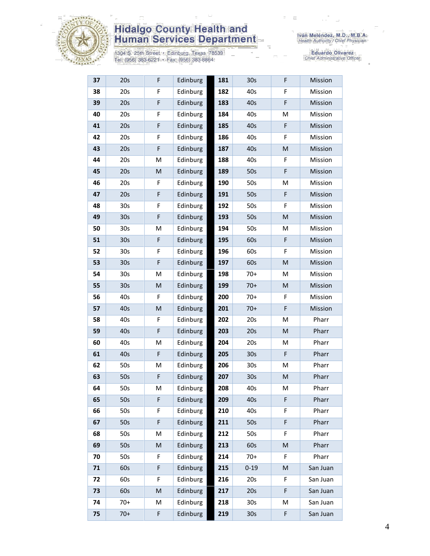

1304 S. 25th Street • Edinburg, Texas 78539<br>Tel: (956) 383-6221 • Fax: (956) 383-8864

Eduardo Olivarez<br>Chief Administrative Officer

| 37 | 20s             | F            | Edinburg | 181 | 30 <sub>s</sub> | F | Mission  |
|----|-----------------|--------------|----------|-----|-----------------|---|----------|
| 38 | 20s             | F            | Edinburg | 182 | 40s             | F | Mission  |
| 39 | 20s             | F            | Edinburg | 183 | 40s             | F | Mission  |
| 40 | 20s             | F            | Edinburg | 184 | 40s             | M | Mission  |
| 41 | 20s             | F            | Edinburg | 185 | 40s             | F | Mission  |
| 42 | 20s             | F            | Edinburg | 186 | 40s             | F | Mission  |
| 43 | 20s             | F            | Edinburg | 187 | 40s             | M | Mission  |
| 44 | 20s             | M            | Edinburg | 188 | 40s             | F | Mission  |
| 45 | 20s             | $\mathsf{M}$ | Edinburg | 189 | 50s             | F | Mission  |
| 46 | 20s             | F            | Edinburg | 190 | 50s             | Μ | Mission  |
| 47 | 20s             | F            | Edinburg | 191 | 50s             | F | Mission  |
| 48 | 30s             | F            | Edinburg | 192 | 50s             | F | Mission  |
| 49 | 30 <sub>s</sub> | F            | Edinburg | 193 | 50s             | M | Mission  |
| 50 | 30 <sub>s</sub> | M            | Edinburg | 194 | 50s             | М | Mission  |
| 51 | 30s             | F            | Edinburg | 195 | 60s             | F | Mission  |
| 52 | 30 <sub>s</sub> | F            | Edinburg | 196 | 60s             | F | Mission  |
| 53 | 30 <sub>s</sub> | F            | Edinburg | 197 | 60s             | M | Mission  |
| 54 | 30 <sub>s</sub> | M            | Edinburg | 198 | $70+$           | M | Mission  |
| 55 | 30 <sub>s</sub> | ${\sf M}$    | Edinburg | 199 | $70+$           | M | Mission  |
| 56 | 40s             | F            | Edinburg | 200 | $70+$           | F | Mission  |
| 57 | 40s             | M            | Edinburg | 201 | $70+$           | F | Mission  |
| 58 | 40s             | F            | Edinburg | 202 | 20s             | Μ | Pharr    |
| 59 | 40s             | $\mathsf F$  | Edinburg | 203 | 20s             | M | Pharr    |
| 60 | 40s             | M            | Edinburg | 204 | 20s             | М | Pharr    |
| 61 | 40s             | $\mathsf F$  | Edinburg | 205 | 30 <sub>s</sub> | F | Pharr    |
| 62 | 50s             | M            | Edinburg | 206 | 30s             | Μ | Pharr    |
| 63 | 50s             | F            | Edinburg | 207 | 30 <sub>s</sub> | M | Pharr    |
| 64 | 50s             | M            | Edinburg | 208 | 40s             | M | Pharr    |
| 65 | 50s             | F            | Edinburg | 209 | 40s             | F | Pharr    |
| 66 | 50s             | F            | Edinburg | 210 | 40s             | F | Pharr    |
| 67 | 50s             | F            | Edinburg | 211 | 50s             | F | Pharr    |
| 68 | 50s             | M            | Edinburg | 212 | 50s             | F | Pharr    |
| 69 | 50s             | ${\sf M}$    | Edinburg | 213 | 60s             | M | Pharr    |
| 70 | 50s             | F            | Edinburg | 214 | $70+$           | F | Pharr    |
| 71 | 60s             | F            | Edinburg | 215 | $0 - 19$        | M | San Juan |
| 72 | 60s             | F            | Edinburg | 216 | 20s             | F | San Juan |
| 73 | 60s             | M            | Edinburg | 217 | 20s             | F | San Juan |
| 74 | $70+$           | M            | Edinburg | 218 | 30 <sub>s</sub> | М | San Juan |
| 75 | $70+$           | F            | Edinburg | 219 | 30s             | F | San Juan |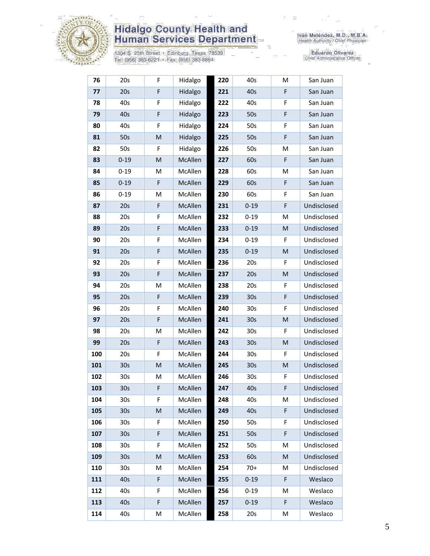

1304 S. 25th Street • Edinburg, Texas 78539<br>Tel: (956) 383-6221 • Fax: (956) 383-8864

Eduardo Olivarez<br>Chief Administrative Officer

| 76  | 20s             | F                                                                                                          | Hidalgo | 220 | 40s             | Μ | San Juan    |
|-----|-----------------|------------------------------------------------------------------------------------------------------------|---------|-----|-----------------|---|-------------|
| 77  | 20s             | F                                                                                                          | Hidalgo | 221 | 40s             | F | San Juan    |
| 78  | 40s             | F                                                                                                          | Hidalgo | 222 | 40s             | F | San Juan    |
| 79  | 40s             | F                                                                                                          | Hidalgo | 223 | 50s             | F | San Juan    |
| 80  | 40s             | F                                                                                                          | Hidalgo | 224 | 50s             | F | San Juan    |
| 81  | 50s             | ${\sf M}$                                                                                                  | Hidalgo | 225 | 50s             | F | San Juan    |
| 82  | 50s             | F                                                                                                          | Hidalgo | 226 | 50s             | M | San Juan    |
| 83  | $0 - 19$        | ${\sf M}$                                                                                                  | McAllen | 227 | 60s             | F | San Juan    |
| 84  | $0 - 19$        | M                                                                                                          | McAllen | 228 | 60s             | Μ | San Juan    |
| 85  | $0 - 19$        | F                                                                                                          | McAllen | 229 | 60s             | F | San Juan    |
| 86  | $0 - 19$        | M                                                                                                          | McAllen | 230 | 60s             | F | San Juan    |
| 87  | 20s             | F                                                                                                          | McAllen | 231 | $0 - 19$        | F | Undisclosed |
| 88  | 20s             | F                                                                                                          | McAllen | 232 | $0 - 19$        | M | Undisclosed |
| 89  | 20s             | F                                                                                                          | McAllen | 233 | $0 - 19$        | M | Undisclosed |
| 90  | 20s             | F                                                                                                          | McAllen | 234 | $0 - 19$        | F | Undisclosed |
| 91  | 20s             | F                                                                                                          | McAllen | 235 | $0 - 19$        | M | Undisclosed |
| 92  | 20s             | F                                                                                                          | McAllen | 236 | 20s             | F | Undisclosed |
| 93  | 20s             | F                                                                                                          | McAllen | 237 | 20s             | M | Undisclosed |
| 94  | 20s             | M                                                                                                          | McAllen | 238 | 20s             | F | Undisclosed |
| 95  | 20s             | $\mathsf F$                                                                                                | McAllen | 239 | 30 <sub>s</sub> | F | Undisclosed |
| 96  | 20s             | F                                                                                                          | McAllen | 240 | 30 <sub>s</sub> | F | Undisclosed |
| 97  | 20s             | $\mathsf F$                                                                                                | McAllen | 241 | 30 <sub>s</sub> | M | Undisclosed |
| 98  | 20s             | M                                                                                                          | McAllen | 242 | 30 <sub>s</sub> | F | Undisclosed |
| 99  | 20s             | F                                                                                                          | McAllen | 243 | 30 <sub>s</sub> | M | Undisclosed |
| 100 | 20s             | F                                                                                                          | McAllen | 244 | 30 <sub>s</sub> | F | Undisclosed |
| 101 | 30 <sub>s</sub> | M                                                                                                          | McAllen | 245 | 30 <sub>s</sub> | M | Undisclosed |
| 102 | 30 <sub>s</sub> | M                                                                                                          | McAllen | 246 | 30 <sub>s</sub> | F | Undisclosed |
| 103 | 30 <sub>s</sub> | F                                                                                                          | McAllen | 247 | 40s             | F | Undisclosed |
| 104 | 30 <sub>s</sub> | F                                                                                                          | McAllen | 248 | 40s             | M | Undisclosed |
| 105 | 30 <sub>s</sub> | $\mathsf{M}% _{T}=\mathsf{M}_{T}\!\left( a,b\right) ,\ \mathsf{M}_{T}=\mathsf{M}_{T}\!\left( a,b\right) ,$ | McAllen | 249 | 40s             | F | Undisclosed |
| 106 | 30 <sub>s</sub> | F                                                                                                          | McAllen | 250 | 50s             | F | Undisclosed |
| 107 | 30 <sub>s</sub> | F                                                                                                          | McAllen | 251 | 50s             | F | Undisclosed |
| 108 | 30s             | F                                                                                                          | McAllen | 252 | 50s             | M | Undisclosed |
| 109 | 30 <sub>s</sub> | $\mathsf{M}% _{T}=\mathsf{M}_{T}\!\left( a,b\right) ,\ \mathsf{M}_{T}=\mathsf{M}_{T}\!\left( a,b\right) ,$ | McAllen | 253 | 60s             | M | Undisclosed |
| 110 | 30s             | M                                                                                                          | McAllen | 254 | $70+$           | Μ | Undisclosed |
| 111 | 40s             | F                                                                                                          | McAllen | 255 | $0 - 19$        | F | Weslaco     |
| 112 | 40s             | F                                                                                                          | McAllen | 256 | $0 - 19$        | Μ | Weslaco     |
| 113 | 40s             | F                                                                                                          | McAllen | 257 | $0 - 19$        | F | Weslaco     |
| 114 | 40s             | М                                                                                                          | McAllen | 258 | 20s             | M | Weslaco     |